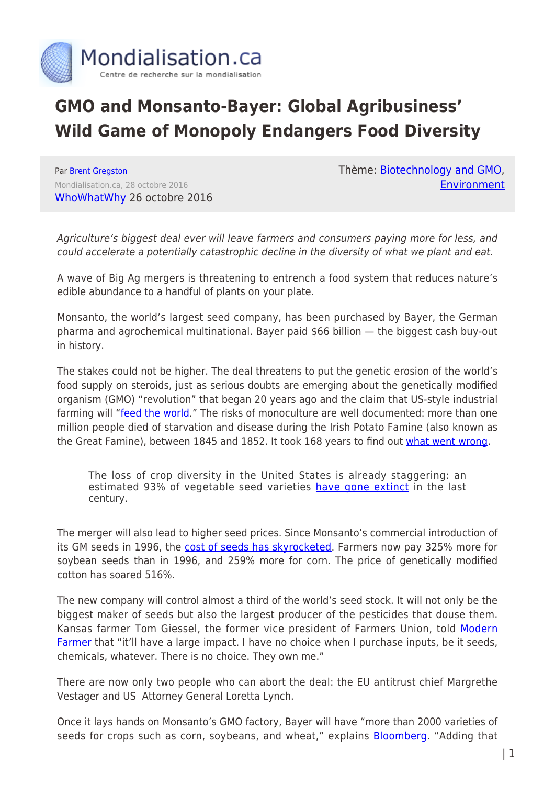

## **GMO and Monsanto-Bayer: Global Agribusiness' Wild Game of Monopoly Endangers Food Diversity**

Par [Brent Gregston](https://www.mondialisation.ca/author/brent-gregston) Mondialisation.ca, 28 octobre 2016 [WhoWhatWhy](http://whowhatwhy.org/2016/10/26/big-ags-wild-game-monopoly-endangers-food-diversity/) 26 octobre 2016 Thème: [Biotechnology and GMO](https://www.mondialisation.ca/theme/biotechnology-and-gmo), [Environment](https://www.mondialisation.ca/theme/environment)

Agriculture's biggest deal ever will leave farmers and consumers paying more for less, and could accelerate a potentially catastrophic decline in the diversity of what we plant and eat.

A wave of Big Ag mergers is threatening to entrench a food system that reduces nature's edible abundance to a handful of plants on your plate.

Monsanto, the world's largest seed company, has been purchased by Bayer, the German pharma and agrochemical multinational. Bayer paid \$66 billion — the biggest cash buy-out in history.

The stakes could not be higher. The deal threatens to put the genetic erosion of the world's food supply on steroids, just as serious doubts are emerging about the genetically modified organism (GMO) "revolution" that began 20 years ago and the claim that US-style industrial farming will ["feed the world](http://www.ewg.org/research/feeding-the-world)." The risks of monoculture are well documented: more than one million people died of starvation and disease during the Irish Potato Famine (also known as the Great Famine), between 1845 and 1852. It took 168 years to find out [what went wrong](https://elifesciences.org/content/2/e00731).

The loss of crop diversity in the United States is already staggering: an estimated 93% of vegetable seed varieties [have gone extinct](http://ngm.nationalgeographic.com/2011/07/food-ark/food-variety-graphic) in the last century.

The merger will also lead to higher seed prices. Since Monsanto's commercial introduction of its GM seeds in 1996, the [cost of seeds has skyrocketed.](http://www.centerforfoodsafety.org/reports/1770/seed-giants-vs-us-farmers) Farmers now pay 325% more for soybean seeds than in 1996, and 259% more for corn. The price of genetically modified cotton has soared 516%.

The new company will control almost a third of the world's seed stock. It will not only be the biggest maker of seeds but also the largest producer of the pesticides that douse them. Kansas farmer Tom Giessel, the former vice president of Farmers Union, told [Modern](http://modernfarmer.com/2016/10/monsanto-bayer-merger-2/) [Farmer](http://modernfarmer.com/2016/10/monsanto-bayer-merger-2/) that "it'll have a large impact. I have no choice when I purchase inputs, be it seeds, chemicals, whatever. There is no choice. They own me."

There are now only two people who can abort the deal: the EU antitrust chief Margrethe Vestager and US Attorney General Loretta Lynch.

Once it lays hands on Monsanto's GMO factory, Bayer will have "more than 2000 varieties of seeds for crops such as corn, soybeans, and wheat," explains **[Bloomberg](http://www.bloomberg.com/news/articles/2016-09-14/bayer-clinches-monsanto-deal-with-fourth-offer-of-66-billion)**. "Adding that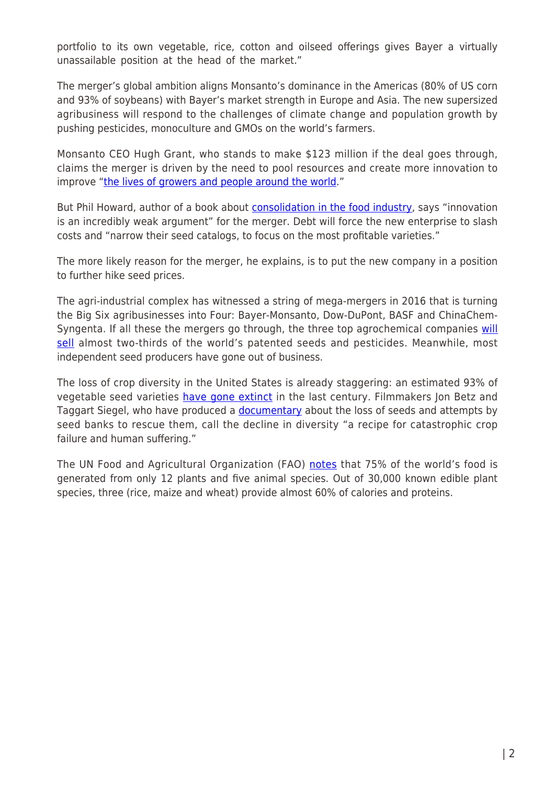portfolio to its own vegetable, rice, cotton and oilseed offerings gives Bayer a virtually unassailable position at the head of the market."

The merger's global ambition aligns Monsanto's dominance in the Americas (80% of US corn and 93% of soybeans) with Bayer's market strength in Europe and Asia. The new supersized agribusiness will respond to the challenges of climate change and population growth by pushing pesticides, monoculture and GMOs on the world's farmers.

Monsanto CEO Hugh Grant, who stands to make \$123 million if the deal goes through, claims the merger is driven by the need to pool resources and create more innovation to improve ["the lives of growers and people around the world.](https://www.youtube.com/watch?v=r6mRCnOXxWU&feature=youtu.be)"

But Phil Howard, author of a book about [consolidation in the food industry](https://msu.edu/~howardp/), says "innovation is an incredibly weak argument" for the merger. Debt will force the new enterprise to slash costs and "narrow their seed catalogs, to focus on the most profitable varieties."

The more likely reason for the merger, he explains, is to put the new company in a position to further hike seed prices.

The agri-industrial complex has witnessed a string of mega-mergers in 2016 that is turning the Big Six agribusinesses into Four: Bayer-Monsanto, Dow-DuPont, BASF and ChinaChemSyngenta. If all these the mergers go through, the three top agrochemical companies [will](http://www.etcgroup.org/sites/www.etcgroup.org/files/files/etcgroup_agmergers_22oct2015.pptx_.pdf) [sell](http://www.etcgroup.org/sites/www.etcgroup.org/files/files/etcgroup_agmergers_22oct2015.pptx_.pdf) almost two-thirds of the world's patented seeds and pesticides. Meanwhile, most independent seed producers have gone out of business.

The loss of crop diversity in the United States is already staggering: an estimated 93% of vegetable seed varieties [have gone extinct](http://ngm.nationalgeographic.com/2011/07/food-ark/food-variety-graphic) in the last century. Filmmakers Jon Betz and Taggart Siegel, who have produced a **documentary** about the loss of seeds and attempts by seed banks to rescue them, call the decline in diversity "a recipe for catastrophic crop failure and human suffering."

The UN Food and Agricultural Organization (FAO) [notes](http://www.fao.org/docrep/007/y5609e/y5609e02.htm) that 75% of the world's food is generated from only 12 plants and five animal species. Out of 30,000 known edible plant species, three (rice, maize and wheat) provide almost 60% of calories and proteins.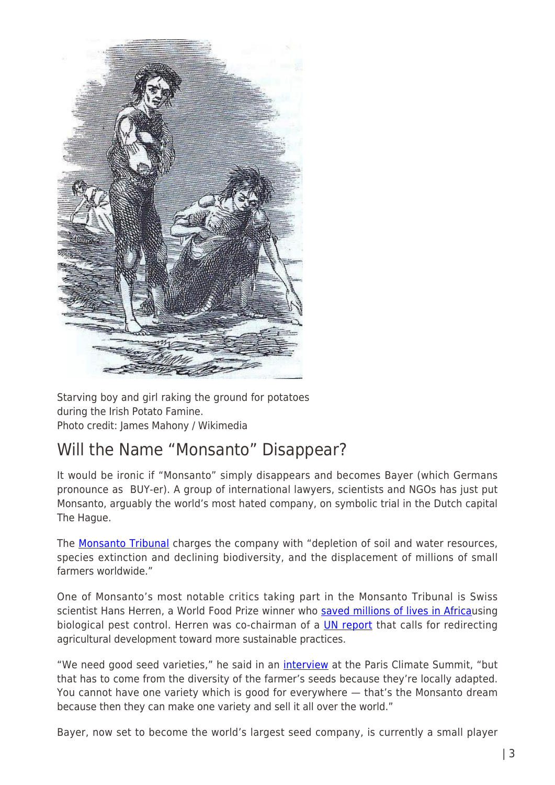

Starving boy and girl raking the ground for potatoes during the Irish Potato Famine. Photo credit: James Mahony / Wikimedia

## Will the Name "Monsanto" Disappear?

It would be ironic if "Monsanto" simply disappears and becomes Bayer (which Germans pronounce as BUY-er). A group of international lawyers, scientists and NGOs has just put Monsanto, arguably the world's most hated company, on symbolic trial in the Dutch capital The Hague.

The **Monsanto Tribunal** charges the company with "depletion of soil and water resources, species extinction and declining biodiversity, and the displacement of millions of small farmers worldwide."

One of Monsanto's most notable critics taking part in the Monsanto Tribunal is Swiss scientist Hans Herren, a World Food Prize winner who [saved millions of lives in Africa](https://en.wikipedia.org/wiki/Hans_Rudolf_Herren)using biological pest control. Herren was co-chairman of a **[UN report](http://www.unep.org/dewa/agassessment/reports/IAASTD/EN/Agriculture%20at%20a%20Crossroads_Synthesis%20Report%20%28English%29.pdf)** that calls for redirecting agricultural development toward more sustainable practices.

"We need good seed varieties," he said in an *[interview](http://pulitzercenter.org/reporting/cop21-interview-hans-herren-agro-ecology-climate-mitigator)* at the Paris Climate Summit, "but that has to come from the diversity of the farmer's seeds because they're locally adapted. You cannot have one variety which is good for everywhere — that's the Monsanto dream because then they can make one variety and sell it all over the world."

Bayer, now set to become the world's largest seed company, is currently a small player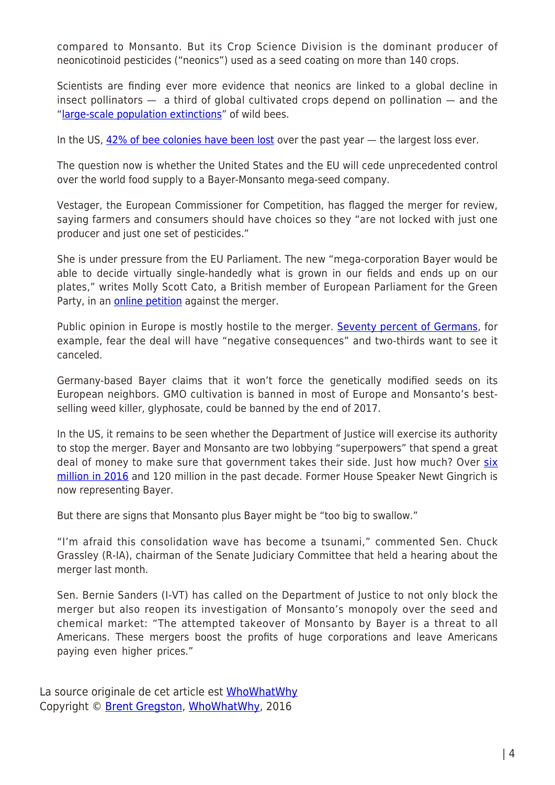compared to Monsanto. But its Crop Science Division is the dominant producer of neonicotinoid pesticides ("neonics") used as a seed coating on more than 140 crops.

Scientists are finding ever more evidence that neonics are linked to a global decline in insect pollinators — a third of global cultivated crops depend on pollination — and the "[large-scale population extinctions](http://www.independent.co.uk/news/science/insecticides-bees-population-extinction-link-farmers-toxic-neonicotinoid-oilseed-rape-a7193951.html)" of wild bees.

In the US, [42% of bee colonies have been lost](https://beeinformed.org/results/colony-loss-2014-2015-preliminary-results/) over the past year - the largest loss ever.

The question now is whether the United States and the EU will cede unprecedented control over the world food supply to a Bayer-Monsanto mega-seed company.

Vestager, the European Commissioner for Competition, has flagged the merger for review, saying farmers and consumers should have choices so they "are not locked with just one producer and just one set of pesticides."

She is under pressure from the EU Parliament. The new "mega-corporation Bayer would be able to decide virtually single-handedly what is grown in our fields and ends up on our plates," writes Molly Scott Cato, a British member of European Parliament for the Green Party, in an [online petition](https://you.wemove.eu/campaigns/block-bayer-monsanto-deal) against the merger.

Public opinion in Europe is mostly hostile to the merger. [Seventy percent of Germans,](https://blog.campact.de/2016/09/das-denken-die-verbraucher-zur-bayer-monsanto-uebernahme/) for example, fear the deal will have "negative consequences" and two-thirds want to see it canceled.

Germany-based Bayer claims that it won't force the genetically modified seeds on its European neighbors. GMO cultivation is banned in most of Europe and Monsanto's bestselling weed killer, glyphosate, could be banned by the end of 2017.

In the US, it remains to be seen whether the Department of Justice will exercise its authority to stop the merger. Bayer and Monsanto are two lobbying "superpowers" that spend a great deal of money to make sure that government takes their side. Just how much? Over [six](https://www.opensecrets.org/news/2016/09/bayer-monsanto-merger-two-washington-savvy-companies-get-their-game-on/) [million in 2016](https://www.opensecrets.org/news/2016/09/bayer-monsanto-merger-two-washington-savvy-companies-get-their-game-on/) and 120 million in the past decade. Former House Speaker Newt Gingrich is now representing Bayer.

But there are signs that Monsanto plus Bayer might be "too big to swallow."

"I'm afraid this consolidation wave has become a tsunami," commented Sen. Chuck Grassley (R-IA), chairman of the Senate Judiciary Committee that held a hearing about the merger last month.

Sen. Bernie Sanders (I-VT) has called on the Department of Justice to not only block the merger but also reopen its investigation of Monsanto's monopoly over the seed and chemical market: "The attempted takeover of Monsanto by Bayer is a threat to all Americans. These mergers boost the profits of huge corporations and leave Americans paying even higher prices."

La source originale de cet article est [WhoWhatWhy](http://whowhatwhy.org/2016/10/26/big-ags-wild-game-monopoly-endangers-food-diversity/) Copyright © [Brent Gregston,](https://www.mondialisation.ca/author/brent-gregston) [WhoWhatWhy,](http://whowhatwhy.org/2016/10/26/big-ags-wild-game-monopoly-endangers-food-diversity/) 2016